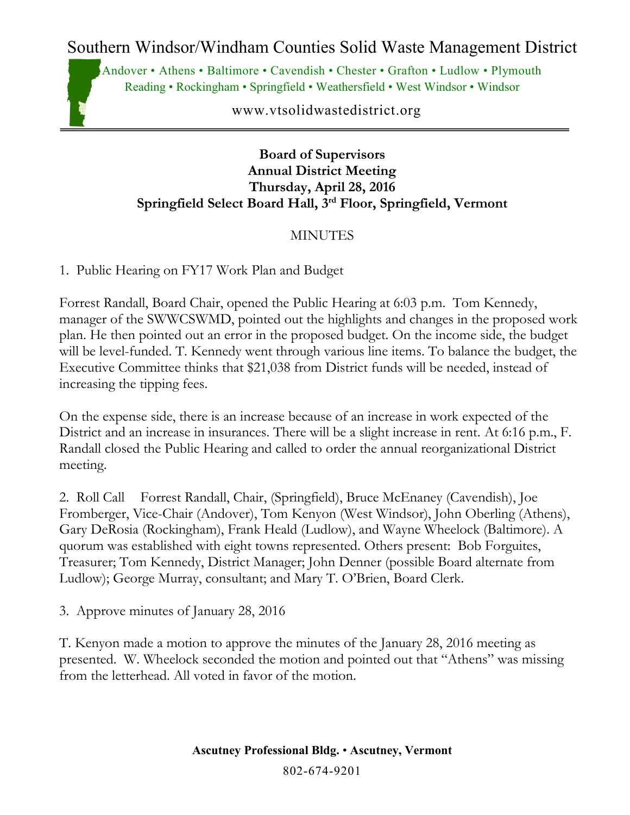Southern Windsor/Windham Counties Solid Waste Management District

Andover • Athens • Baltimore • Cavendish • Chester • Grafton • Ludlow • Plymouth Reading • Rockingham • Springfield • Weathersfield • West Windsor • Windsor

www.vtsolidwastedistrict.org

#### **Board of Supervisors Annual District Meeting Thursday, April 28, 2016 Springfield Select Board Hall, 3rd Floor, Springfield, Vermont**

### MINUTES

1. Public Hearing on FY17 Work Plan and Budget

Forrest Randall, Board Chair, opened the Public Hearing at 6:03 p.m. Tom Kennedy, manager of the SWWCSWMD, pointed out the highlights and changes in the proposed work plan. He then pointed out an error in the proposed budget. On the income side, the budget will be level-funded. T. Kennedy went through various line items. To balance the budget, the Executive Committee thinks that \$21,038 from District funds will be needed, instead of increasing the tipping fees.

On the expense side, there is an increase because of an increase in work expected of the District and an increase in insurances. There will be a slight increase in rent. At 6:16 p.m., F. Randall closed the Public Hearing and called to order the annual reorganizational District meeting.

2. Roll Call Forrest Randall, Chair, (Springfield), Bruce McEnaney (Cavendish), Joe Fromberger, Vice-Chair (Andover), Tom Kenyon (West Windsor), John Oberling (Athens), Gary DeRosia (Rockingham), Frank Heald (Ludlow), and Wayne Wheelock (Baltimore). A quorum was established with eight towns represented. Others present: Bob Forguites, Treasurer; Tom Kennedy, District Manager; John Denner (possible Board alternate from Ludlow); George Murray, consultant; and Mary T. O'Brien, Board Clerk.

3. Approve minutes of January 28, 2016

T. Kenyon made a motion to approve the minutes of the January 28, 2016 meeting as presented. W. Wheelock seconded the motion and pointed out that "Athens" was missing from the letterhead. All voted in favor of the motion.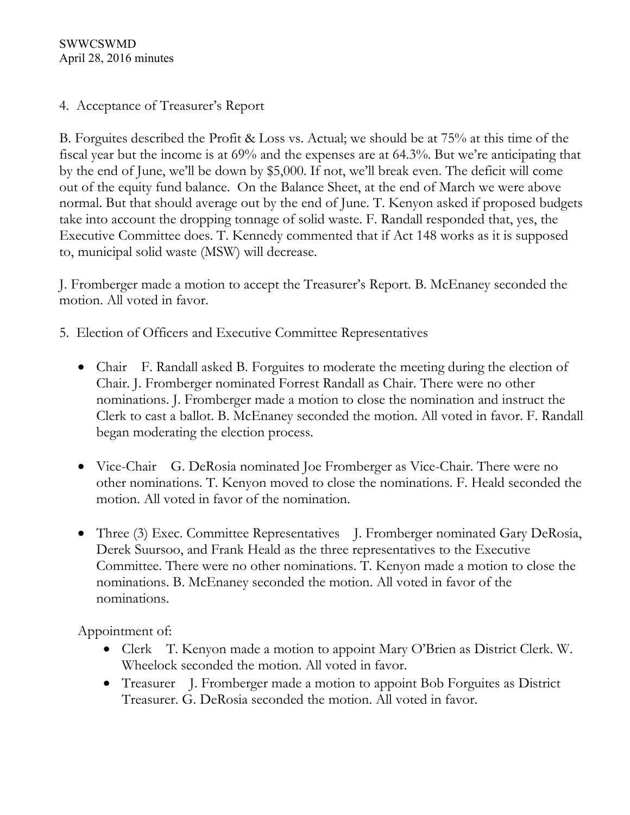SWWCSWMD April 28, 2016 minutes

### 4. Acceptance of Treasurer's Report

B. Forguites described the Profit & Loss vs. Actual; we should be at 75% at this time of the fiscal year but the income is at 69% and the expenses are at 64.3%. But we're anticipating that by the end of June, we'll be down by \$5,000. If not, we'll break even. The deficit will come out of the equity fund balance. On the Balance Sheet, at the end of March we were above normal. But that should average out by the end of June. T. Kenyon asked if proposed budgets take into account the dropping tonnage of solid waste. F. Randall responded that, yes, the Executive Committee does. T. Kennedy commented that if Act 148 works as it is supposed to, municipal solid waste (MSW) will decrease.

J. Fromberger made a motion to accept the Treasurer's Report. B. McEnaney seconded the motion. All voted in favor.

- 5. Election of Officers and Executive Committee Representatives
	- Chair F. Randall asked B. Forguites to moderate the meeting during the election of Chair. J. Fromberger nominated Forrest Randall as Chair. There were no other nominations. J. Fromberger made a motion to close the nomination and instruct the Clerk to cast a ballot. B. McEnaney seconded the motion. All voted in favor. F. Randall began moderating the election process.
	- Vice-Chair G. DeRosia nominated Joe Fromberger as Vice-Chair. There were no other nominations. T. Kenyon moved to close the nominations. F. Heald seconded the motion. All voted in favor of the nomination.
	- Three (3) Exec. Committee Representatives J. Fromberger nominated Gary DeRosia, Derek Suursoo, and Frank Heald as the three representatives to the Executive Committee. There were no other nominations. T. Kenyon made a motion to close the nominations. B. McEnaney seconded the motion. All voted in favor of the nominations.

Appointment of:

- Clerk T. Kenyon made a motion to appoint Mary O'Brien as District Clerk. W. Wheelock seconded the motion. All voted in favor.
- Treasurer J. Fromberger made a motion to appoint Bob Forguites as District Treasurer. G. DeRosia seconded the motion. All voted in favor.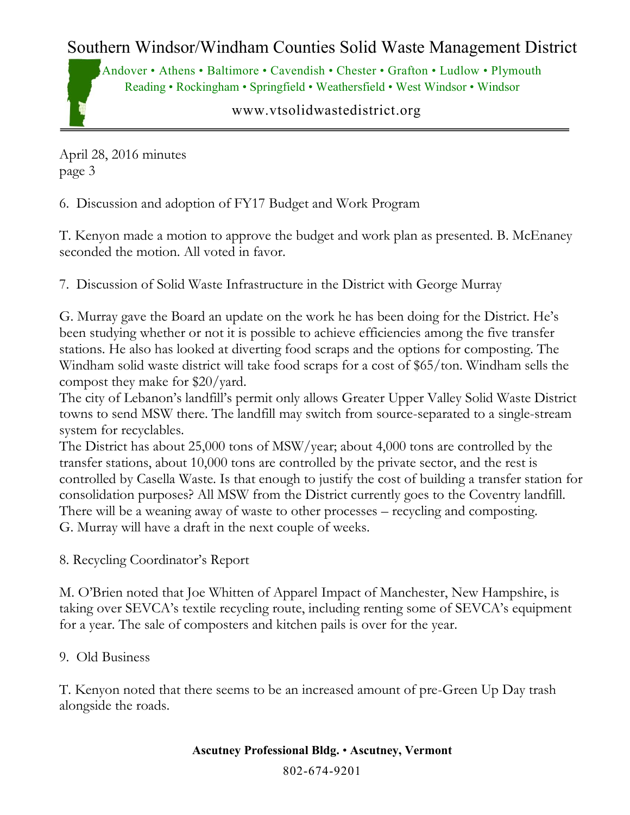# Southern Windsor/Windham Counties Solid Waste Management District

Andover • Athens • Baltimore • Cavendish • Chester • Grafton • Ludlow • Plymouth Reading • Rockingham • Springfield • Weathersfield • West Windsor • Windsor

www.vtsolidwastedistrict.org

April 28, 2016 minutes page 3

6. Discussion and adoption of FY17 Budget and Work Program

T. Kenyon made a motion to approve the budget and work plan as presented. B. McEnaney seconded the motion. All voted in favor.

7. Discussion of Solid Waste Infrastructure in the District with George Murray

G. Murray gave the Board an update on the work he has been doing for the District. He's been studying whether or not it is possible to achieve efficiencies among the five transfer stations. He also has looked at diverting food scraps and the options for composting. The Windham solid waste district will take food scraps for a cost of \$65/ton. Windham sells the compost they make for \$20/yard.

The city of Lebanon's landfill's permit only allows Greater Upper Valley Solid Waste District towns to send MSW there. The landfill may switch from source-separated to a single-stream system for recyclables.

The District has about 25,000 tons of MSW/year; about 4,000 tons are controlled by the transfer stations, about 10,000 tons are controlled by the private sector, and the rest is controlled by Casella Waste. Is that enough to justify the cost of building a transfer station for consolidation purposes? All MSW from the District currently goes to the Coventry landfill. There will be a weaning away of waste to other processes – recycling and composting. G. Murray will have a draft in the next couple of weeks.

8. Recycling Coordinator's Report

M. O'Brien noted that Joe Whitten of Apparel Impact of Manchester, New Hampshire, is taking over SEVCA's textile recycling route, including renting some of SEVCA's equipment for a year. The sale of composters and kitchen pails is over for the year.

9. Old Business

T. Kenyon noted that there seems to be an increased amount of pre-Green Up Day trash alongside the roads.

**Ascutney Professional Bldg.** • **Ascutney, Vermont**

802-674-9201